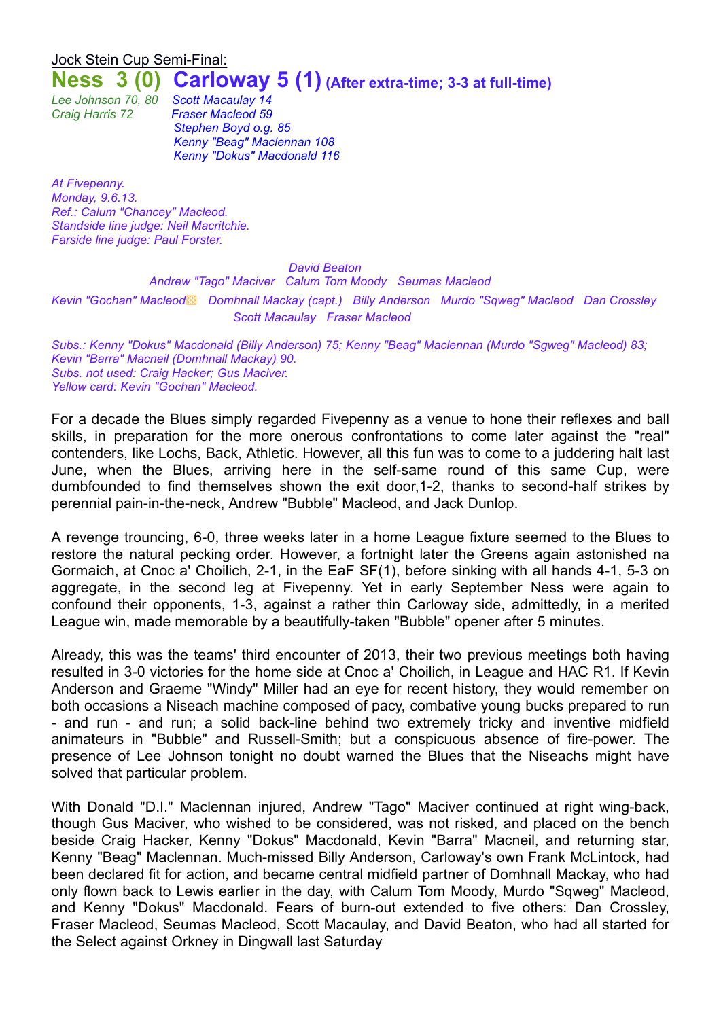# Jock Stein Cup Semi-Final: **Ness 3 (0) Carloway 5 (1) (After extra-time; 3-3 at full-time)**

*Lee Johnson 70, 80 Scott Macaulay 14*

*Craig Harris 72 Fraser Macleod 59 Stephen Boyd o.g. 85 Kenny "Beag" Maclennan 108 Kenny "Dokus" Macdonald 116*

*At Fivepenny. Monday, 9.6.13. Ref.: Calum "Chancey" Macleod. Standside line judge: Neil Macritchie. Farside line judge: Paul Forster.*

#### *David Beaton*

*Andrew "Tago" Maciver Calum Tom Moody Seumas Macleod Kevin "Gochan" Macleod*▩ *Domhnall Mackay (capt.) Billy Anderson Murdo "Sqweg" Macleod Dan Crossley Scott Macaulay Fraser Macleod*

*Subs.: Kenny "Dokus" Macdonald (Billy Anderson) 75; Kenny "Beag" Maclennan (Murdo "Sgweg" Macleod) 83; Kevin "Barra" Macneil (Domhnall Mackay) 90. Subs. not used: Craig Hacker; Gus Maciver. Yellow card: Kevin "Gochan" Macleod.*

For a decade the Blues simply regarded Fivepenny as a venue to hone their reflexes and ball skills, in preparation for the more onerous confrontations to come later against the "real" contenders, like Lochs, Back, Athletic. However, all this fun was to come to a juddering halt last June, when the Blues, arriving here in the self-same round of this same Cup, were dumbfounded to find themselves shown the exit door,1-2, thanks to second-half strikes by perennial pain-in-the-neck, Andrew "Bubble" Macleod, and Jack Dunlop.

A revenge trouncing, 6-0, three weeks later in a home League fixture seemed to the Blues to restore the natural pecking order. However, a fortnight later the Greens again astonished na Gormaich, at Cnoc a' Choilich, 2-1, in the EaF SF(1), before sinking with all hands 4-1, 5-3 on aggregate, in the second leg at Fivepenny. Yet in early September Ness were again to confound their opponents, 1-3, against a rather thin Carloway side, admittedly, in a merited League win, made memorable by a beautifully-taken "Bubble" opener after 5 minutes.

Already, this was the teams' third encounter of 2013, their two previous meetings both having resulted in 3-0 victories for the home side at Cnoc a' Choilich, in League and HAC R1. If Kevin Anderson and Graeme "Windy" Miller had an eye for recent history, they would remember on both occasions a Niseach machine composed of pacy, combative young bucks prepared to run - and run - and run; a solid back-line behind two extremely tricky and inventive midfield animateurs in "Bubble" and Russell-Smith; but a conspicuous absence of fire-power. The presence of Lee Johnson tonight no doubt warned the Blues that the Niseachs might have solved that particular problem.

With Donald "D.I." Maclennan injured, Andrew "Tago" Maciver continued at right wing-back, though Gus Maciver, who wished to be considered, was not risked, and placed on the bench beside Craig Hacker, Kenny "Dokus" Macdonald, Kevin "Barra" Macneil, and returning star, Kenny "Beag" Maclennan. Much-missed Billy Anderson, Carloway's own Frank McLintock, had been declared fit for action, and became central midfield partner of Domhnall Mackay, who had only flown back to Lewis earlier in the day, with Calum Tom Moody, Murdo "Sqweg" Macleod, and Kenny "Dokus" Macdonald. Fears of burn-out extended to five others: Dan Crossley, Fraser Macleod, Seumas Macleod, Scott Macaulay, and David Beaton, who had all started for the Select against Orkney in Dingwall last Saturday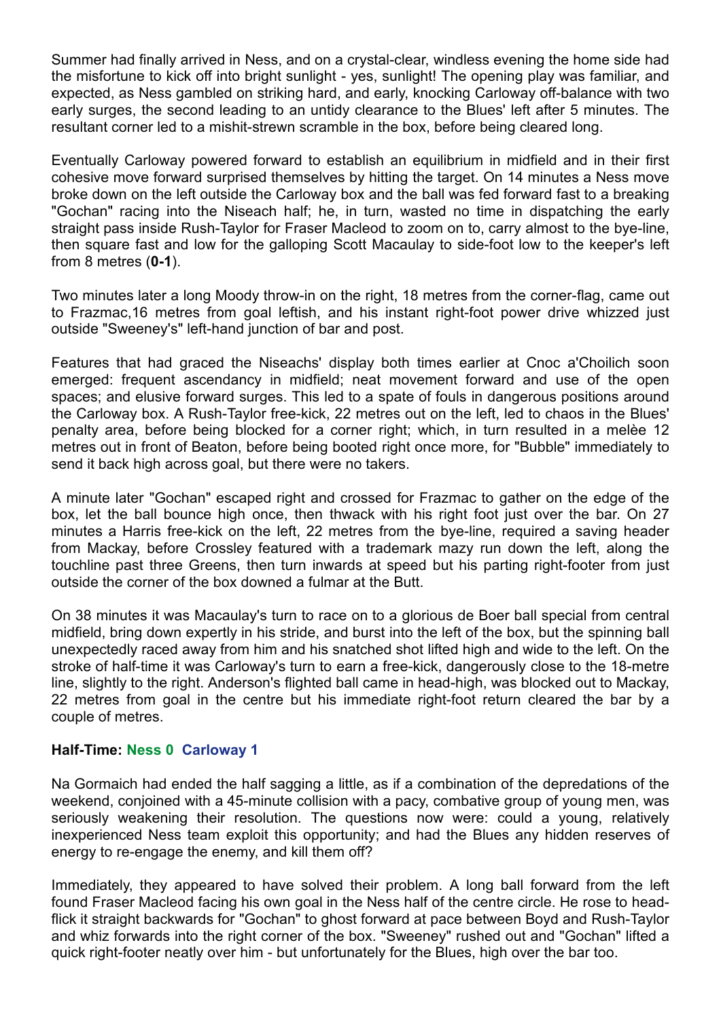Summer had finally arrived in Ness, and on a crystal-clear, windless evening the home side had the misfortune to kick off into bright sunlight - yes, sunlight! The opening play was familiar, and expected, as Ness gambled on striking hard, and early, knocking Carloway off-balance with two early surges, the second leading to an untidy clearance to the Blues' left after 5 minutes. The resultant corner led to a mishit-strewn scramble in the box, before being cleared long.

Eventually Carloway powered forward to establish an equilibrium in midfield and in their first cohesive move forward surprised themselves by hitting the target. On 14 minutes a Ness move broke down on the left outside the Carloway box and the ball was fed forward fast to a breaking "Gochan" racing into the Niseach half; he, in turn, wasted no time in dispatching the early straight pass inside Rush-Taylor for Fraser Macleod to zoom on to, carry almost to the bye-line, then square fast and low for the galloping Scott Macaulay to side-foot low to the keeper's left from 8 metres (**0-1**).

Two minutes later a long Moody throw-in on the right, 18 metres from the corner-flag, came out to Frazmac,16 metres from goal leftish, and his instant right-foot power drive whizzed just outside "Sweeney's" left-hand junction of bar and post.

Features that had graced the Niseachs' display both times earlier at Cnoc a'Choilich soon emerged: frequent ascendancy in midfield; neat movement forward and use of the open spaces; and elusive forward surges. This led to a spate of fouls in dangerous positions around the Carloway box. A Rush-Taylor free-kick, 22 metres out on the left, led to chaos in the Blues' penalty area, before being blocked for a corner right; which, in turn resulted in a melèe 12 metres out in front of Beaton, before being booted right once more, for "Bubble" immediately to send it back high across goal, but there were no takers.

A minute later "Gochan" escaped right and crossed for Frazmac to gather on the edge of the box, let the ball bounce high once, then thwack with his right foot just over the bar. On 27 minutes a Harris free-kick on the left, 22 metres from the bye-line, required a saving header from Mackay, before Crossley featured with a trademark mazy run down the left, along the touchline past three Greens, then turn inwards at speed but his parting right-footer from just outside the corner of the box downed a fulmar at the Butt.

On 38 minutes it was Macaulay's turn to race on to a glorious de Boer ball special from central midfield, bring down expertly in his stride, and burst into the left of the box, but the spinning ball unexpectedly raced away from him and his snatched shot lifted high and wide to the left. On the stroke of half-time it was Carloway's turn to earn a free-kick, dangerously close to the 18-metre line, slightly to the right. Anderson's flighted ball came in head-high, was blocked out to Mackay, 22 metres from goal in the centre but his immediate right-foot return cleared the bar by a couple of metres.

## **Half-Time: Ness 0 Carloway 1**

Na Gormaich had ended the half sagging a little, as if a combination of the depredations of the weekend, conjoined with a 45-minute collision with a pacy, combative group of young men, was seriously weakening their resolution. The questions now were: could a young, relatively inexperienced Ness team exploit this opportunity; and had the Blues any hidden reserves of energy to re-engage the enemy, and kill them off?

Immediately, they appeared to have solved their problem. A long ball forward from the left found Fraser Macleod facing his own goal in the Ness half of the centre circle. He rose to headflick it straight backwards for "Gochan" to ghost forward at pace between Boyd and Rush-Taylor and whiz forwards into the right corner of the box. "Sweeney" rushed out and "Gochan" lifted a quick right-footer neatly over him - but unfortunately for the Blues, high over the bar too.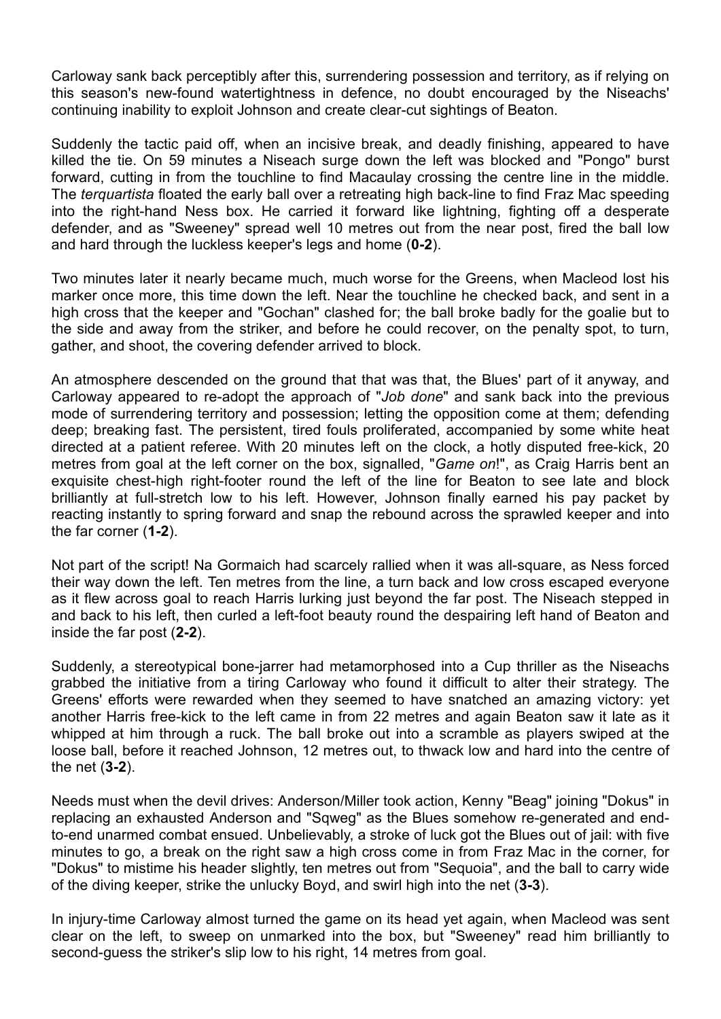Carloway sank back perceptibly after this, surrendering possession and territory, as if relying on this season's new-found watertightness in defence, no doubt encouraged by the Niseachs' continuing inability to exploit Johnson and create clear-cut sightings of Beaton.

Suddenly the tactic paid off, when an incisive break, and deadly finishing, appeared to have killed the tie. On 59 minutes a Niseach surge down the left was blocked and "Pongo" burst forward, cutting in from the touchline to find Macaulay crossing the centre line in the middle. The *terquartista* floated the early ball over a retreating high back-line to find Fraz Mac speeding into the right-hand Ness box. He carried it forward like lightning, fighting off a desperate defender, and as "Sweeney" spread well 10 metres out from the near post, fired the ball low and hard through the luckless keeper's legs and home (**0-2**).

Two minutes later it nearly became much, much worse for the Greens, when Macleod lost his marker once more, this time down the left. Near the touchline he checked back, and sent in a high cross that the keeper and "Gochan" clashed for; the ball broke badly for the goalie but to the side and away from the striker, and before he could recover, on the penalty spot, to turn, gather, and shoot, the covering defender arrived to block.

An atmosphere descended on the ground that that was that, the Blues' part of it anyway, and Carloway appeared to re-adopt the approach of "*Job done*" and sank back into the previous mode of surrendering territory and possession; letting the opposition come at them; defending deep; breaking fast. The persistent, tired fouls proliferated, accompanied by some white heat directed at a patient referee. With 20 minutes left on the clock, a hotly disputed free-kick, 20 metres from goal at the left corner on the box, signalled, "*Game on*!", as Craig Harris bent an exquisite chest-high right-footer round the left of the line for Beaton to see late and block brilliantly at full-stretch low to his left. However, Johnson finally earned his pay packet by reacting instantly to spring forward and snap the rebound across the sprawled keeper and into the far corner (**1-2**).

Not part of the script! Na Gormaich had scarcely rallied when it was all-square, as Ness forced their way down the left. Ten metres from the line, a turn back and low cross escaped everyone as it flew across goal to reach Harris lurking just beyond the far post. The Niseach stepped in and back to his left, then curled a left-foot beauty round the despairing left hand of Beaton and inside the far post (**2-2**).

Suddenly, a stereotypical bone-jarrer had metamorphosed into a Cup thriller as the Niseachs grabbed the initiative from a tiring Carloway who found it difficult to alter their strategy. The Greens' efforts were rewarded when they seemed to have snatched an amazing victory: yet another Harris free-kick to the left came in from 22 metres and again Beaton saw it late as it whipped at him through a ruck. The ball broke out into a scramble as players swiped at the loose ball, before it reached Johnson, 12 metres out, to thwack low and hard into the centre of the net (**3-2**).

Needs must when the devil drives: Anderson/Miller took action, Kenny "Beag" joining "Dokus" in replacing an exhausted Anderson and "Sqweg" as the Blues somehow re-generated and endto-end unarmed combat ensued. Unbelievably, a stroke of luck got the Blues out of jail: with five minutes to go, a break on the right saw a high cross come in from Fraz Mac in the corner, for "Dokus" to mistime his header slightly, ten metres out from "Sequoia", and the ball to carry wide of the diving keeper, strike the unlucky Boyd, and swirl high into the net (**3-3**).

In injury-time Carloway almost turned the game on its head yet again, when Macleod was sent clear on the left, to sweep on unmarked into the box, but "Sweeney" read him brilliantly to second-guess the striker's slip low to his right, 14 metres from goal.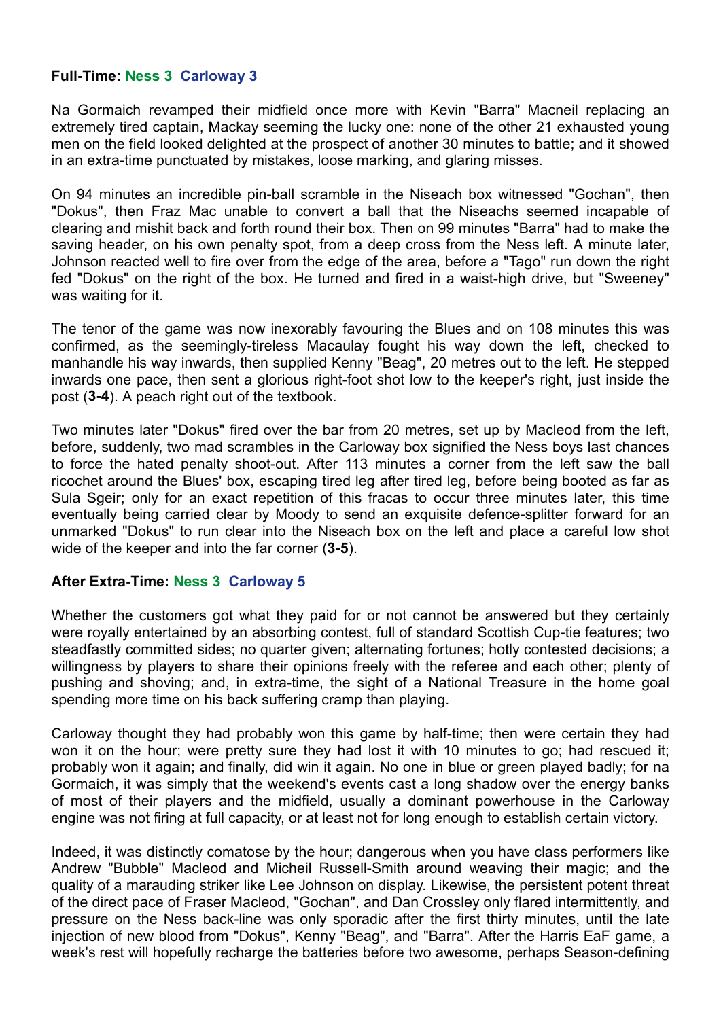## **Full-Time: Ness 3 Carloway 3**

Na Gormaich revamped their midfield once more with Kevin "Barra" Macneil replacing an extremely tired captain, Mackay seeming the lucky one: none of the other 21 exhausted young men on the field looked delighted at the prospect of another 30 minutes to battle; and it showed in an extra-time punctuated by mistakes, loose marking, and glaring misses.

On 94 minutes an incredible pin-ball scramble in the Niseach box witnessed "Gochan", then "Dokus", then Fraz Mac unable to convert a ball that the Niseachs seemed incapable of clearing and mishit back and forth round their box. Then on 99 minutes "Barra" had to make the saving header, on his own penalty spot, from a deep cross from the Ness left. A minute later, Johnson reacted well to fire over from the edge of the area, before a "Tago" run down the right fed "Dokus" on the right of the box. He turned and fired in a waist-high drive, but "Sweeney" was waiting for it.

The tenor of the game was now inexorably favouring the Blues and on 108 minutes this was confirmed, as the seemingly-tireless Macaulay fought his way down the left, checked to manhandle his way inwards, then supplied Kenny "Beag", 20 metres out to the left. He stepped inwards one pace, then sent a glorious right-foot shot low to the keeper's right, just inside the post (**3-4**). A peach right out of the textbook.

Two minutes later "Dokus" fired over the bar from 20 metres, set up by Macleod from the left, before, suddenly, two mad scrambles in the Carloway box signified the Ness boys last chances to force the hated penalty shoot-out. After 113 minutes a corner from the left saw the ball ricochet around the Blues' box, escaping tired leg after tired leg, before being booted as far as Sula Sgeir; only for an exact repetition of this fracas to occur three minutes later, this time eventually being carried clear by Moody to send an exquisite defence-splitter forward for an unmarked "Dokus" to run clear into the Niseach box on the left and place a careful low shot wide of the keeper and into the far corner (**3-5**).

## **After Extra-Time: Ness 3 Carloway 5**

Whether the customers got what they paid for or not cannot be answered but they certainly were royally entertained by an absorbing contest, full of standard Scottish Cup-tie features; two steadfastly committed sides; no quarter given; alternating fortunes; hotly contested decisions; a willingness by players to share their opinions freely with the referee and each other; plenty of pushing and shoving; and, in extra-time, the sight of a National Treasure in the home goal spending more time on his back suffering cramp than playing.

Carloway thought they had probably won this game by half-time; then were certain they had won it on the hour; were pretty sure they had lost it with 10 minutes to go; had rescued it: probably won it again; and finally, did win it again. No one in blue or green played badly; for na Gormaich, it was simply that the weekend's events cast a long shadow over the energy banks of most of their players and the midfield, usually a dominant powerhouse in the Carloway engine was not firing at full capacity, or at least not for long enough to establish certain victory.

Indeed, it was distinctly comatose by the hour; dangerous when you have class performers like Andrew "Bubble" Macleod and Micheil Russell-Smith around weaving their magic; and the quality of a marauding striker like Lee Johnson on display. Likewise, the persistent potent threat of the direct pace of Fraser Macleod, "Gochan", and Dan Crossley only flared intermittently, and pressure on the Ness back-line was only sporadic after the first thirty minutes, until the late injection of new blood from "Dokus", Kenny "Beag", and "Barra". After the Harris EaF game, a week's rest will hopefully recharge the batteries before two awesome, perhaps Season-defining